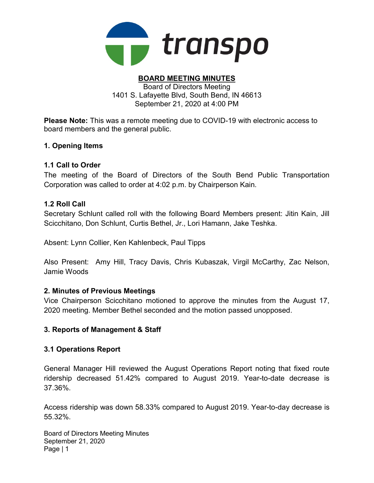

# BOARD MEETING MINUTES

Board of Directors Meeting 1401 S. Lafayette Blvd, South Bend, IN 46613 September 21, 2020 at 4:00 PM

Please Note: This was a remote meeting due to COVID-19 with electronic access to board members and the general public.

### 1. Opening Items

### 1.1 Call to Order

The meeting of the Board of Directors of the South Bend Public Transportation Corporation was called to order at 4:02 p.m. by Chairperson Kain.

### 1.2 Roll Call

Secretary Schlunt called roll with the following Board Members present: Jitin Kain, Jill Scicchitano, Don Schlunt, Curtis Bethel, Jr., Lori Hamann, Jake Teshka.

Absent: Lynn Collier, Ken Kahlenbeck, Paul Tipps

Also Present: Amy Hill, Tracy Davis, Chris Kubaszak, Virgil McCarthy, Zac Nelson, Jamie Woods

#### 2. Minutes of Previous Meetings

Vice Chairperson Scicchitano motioned to approve the minutes from the August 17, 2020 meeting. Member Bethel seconded and the motion passed unopposed.

# 3. Reports of Management & Staff

#### 3.1 Operations Report

General Manager Hill reviewed the August Operations Report noting that fixed route ridership decreased 51.42% compared to August 2019. Year-to-date decrease is 37.36%.

Access ridership was down 58.33% compared to August 2019. Year-to-day decrease is 55.32%.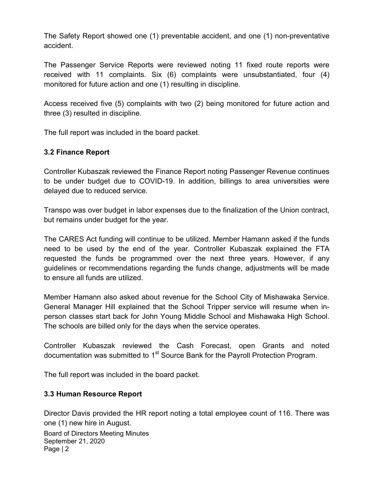The Safety Report showed one (1) preventable accident, and one (1) non-preventative accident.

The Passenger Service Reports were reviewed noting 11 fixed route reports were received with 11 complaints. Six (6) complaints were unsubstantiated, four (4) monitored for future action and one (1) resulting in discipline.

Access received five (5) complaints with two (2) being monitored for future action and three (3) resulted in discipline.

The full report was included in the board packet.

# 3.2 Finance Report

Controller Kubaszak reviewed the Finance Report noting Passenger Revenue continues to be under budget due to COVID-19. In addition, billings to area universities were delayed due to reduced service.

Transpo was over budget in labor expenses due to the finalization of the Union contract, but remains under budget for the year.

The CARES Act funding will continue to be utilized. Member Hamann asked if the funds need to be used by the end of the year. Controller Kubaszak explained the FTA requested the funds be programmed over the next three years. However, if any guidelines or recommendations regarding the funds change, adjustments will be made to ensure all funds are utilized.

Member Hamann also asked about revenue for the School City of Mishawaka Service. General Manager Hill explained that the School Tripper service will resume when inperson classes start back for John Young Middle School and Mishawaka High School. The schools are billed only for the days when the service operates.

Controller Kubaszak reviewed the Cash Forecast, open Grants and noted documentation was submitted to  $1<sup>st</sup>$  Source Bank for the Payroll Protection Program.

The full report was included in the board packet.

# 3.3 Human Resource Report

Director Davis provided the HR report noting a total employee count of 116. There was one (1) new hire in August.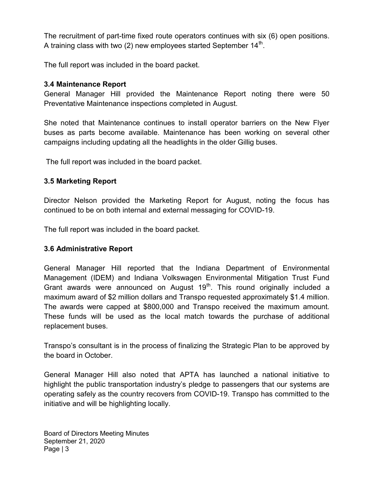The recruitment of part-time fixed route operators continues with six (6) open positions. A training class with two (2) new employees started September 14 $^{\rm th}$ .

The full report was included in the board packet.

# 3.4 Maintenance Report

General Manager Hill provided the Maintenance Report noting there were 50 Preventative Maintenance inspections completed in August.

She noted that Maintenance continues to install operator barriers on the New Flyer buses as parts become available. Maintenance has been working on several other campaigns including updating all the headlights in the older Gillig buses.

The full report was included in the board packet.

# 3.5 Marketing Report

Director Nelson provided the Marketing Report for August, noting the focus has continued to be on both internal and external messaging for COVID-19.

The full report was included in the board packet.

# 3.6 Administrative Report

General Manager Hill reported that the Indiana Department of Environmental Management (IDEM) and Indiana Volkswagen Environmental Mitigation Trust Fund Grant awards were announced on August  $19<sup>th</sup>$ . This round originally included a maximum award of \$2 million dollars and Transpo requested approximately \$1.4 million. The awards were capped at \$800,000 and Transpo received the maximum amount. These funds will be used as the local match towards the purchase of additional replacement buses.

Transpo's consultant is in the process of finalizing the Strategic Plan to be approved by the board in October.

General Manager Hill also noted that APTA has launched a national initiative to highlight the public transportation industry's pledge to passengers that our systems are operating safely as the country recovers from COVID-19. Transpo has committed to the initiative and will be highlighting locally.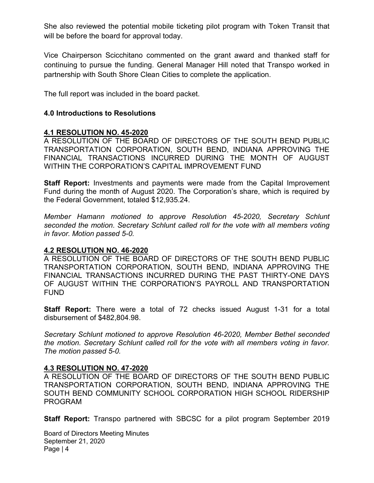She also reviewed the potential mobile ticketing pilot program with Token Transit that will be before the board for approval today.

Vice Chairperson Scicchitano commented on the grant award and thanked staff for continuing to pursue the funding. General Manager Hill noted that Transpo worked in partnership with South Shore Clean Cities to complete the application.

The full report was included in the board packet.

### 4.0 Introductions to Resolutions

#### 4.1 RESOLUTION NO. 45-2020

A RESOLUTION OF THE BOARD OF DIRECTORS OF THE SOUTH BEND PUBLIC TRANSPORTATION CORPORATION, SOUTH BEND, INDIANA APPROVING THE FINANCIAL TRANSACTIONS INCURRED DURING THE MONTH OF AUGUST WITHIN THE CORPORATION'S CAPITAL IMPROVEMENT FUND

**Staff Report:** Investments and payments were made from the Capital Improvement Fund during the month of August 2020. The Corporation's share, which is required by the Federal Government, totaled \$12,935.24.

Member Hamann motioned to approve Resolution 45-2020, Secretary Schlunt seconded the motion. Secretary Schlunt called roll for the vote with all members voting in favor. Motion passed 5-0.

#### 4.2 RESOLUTION NO. 46-2020

A RESOLUTION OF THE BOARD OF DIRECTORS OF THE SOUTH BEND PUBLIC TRANSPORTATION CORPORATION, SOUTH BEND, INDIANA APPROVING THE FINANCIAL TRANSACTIONS INCURRED DURING THE PAST THIRTY-ONE DAYS OF AUGUST WITHIN THE CORPORATION'S PAYROLL AND TRANSPORTATION FUND

**Staff Report:** There were a total of 72 checks issued August 1-31 for a total disbursement of \$482,804.98.

Secretary Schlunt motioned to approve Resolution 46-2020, Member Bethel seconded the motion. Secretary Schlunt called roll for the vote with all members voting in favor. The motion passed 5-0.

#### 4.3 RESOLUTION NO. 47-2020

A RESOLUTION OF THE BOARD OF DIRECTORS OF THE SOUTH BEND PUBLIC TRANSPORTATION CORPORATION, SOUTH BEND, INDIANA APPROVING THE SOUTH BEND COMMUNITY SCHOOL CORPORATION HIGH SCHOOL RIDERSHIP PROGRAM

Staff Report: Transpo partnered with SBCSC for a pilot program September 2019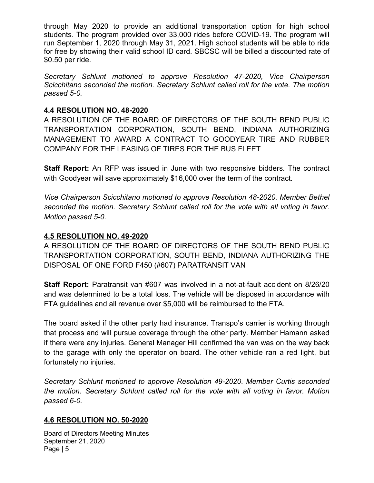through May 2020 to provide an additional transportation option for high school students. The program provided over 33,000 rides before COVID-19. The program will run September 1, 2020 through May 31, 2021. High school students will be able to ride for free by showing their valid school ID card. SBCSC will be billed a discounted rate of \$0.50 per ride.

Secretary Schlunt motioned to approve Resolution 47-2020, Vice Chairperson Scicchitano seconded the motion. Secretary Schlunt called roll for the vote. The motion passed 5-0.

# 4.4 RESOLUTION NO. 48-2020

A RESOLUTION OF THE BOARD OF DIRECTORS OF THE SOUTH BEND PUBLIC TRANSPORTATION CORPORATION, SOUTH BEND, INDIANA AUTHORIZING MANAGEMENT TO AWARD A CONTRACT TO GOODYEAR TIRE AND RUBBER COMPANY FOR THE LEASING OF TIRES FOR THE BUS FLEET

Staff Report: An RFP was issued in June with two responsive bidders. The contract with Goodyear will save approximately \$16,000 over the term of the contract.

Vice Chairperson Scicchitano motioned to approve Resolution 48-2020. Member Bethel seconded the motion. Secretary Schlunt called roll for the vote with all voting in favor. Motion passed 5-0.

# 4.5 RESOLUTION NO. 49-2020

A RESOLUTION OF THE BOARD OF DIRECTORS OF THE SOUTH BEND PUBLIC TRANSPORTATION CORPORATION, SOUTH BEND, INDIANA AUTHORIZING THE DISPOSAL OF ONE FORD F450 (#607) PARATRANSIT VAN

Staff Report: Paratransit van #607 was involved in a not-at-fault accident on 8/26/20 and was determined to be a total loss. The vehicle will be disposed in accordance with FTA guidelines and all revenue over \$5,000 will be reimbursed to the FTA.

The board asked if the other party had insurance. Transpo's carrier is working through that process and will pursue coverage through the other party. Member Hamann asked if there were any injuries. General Manager Hill confirmed the van was on the way back to the garage with only the operator on board. The other vehicle ran a red light, but fortunately no injuries.

Secretary Schlunt motioned to approve Resolution 49-2020. Member Curtis seconded the motion. Secretary Schlunt called roll for the vote with all voting in favor. Motion passed 6-0.

#### 4.6 RESOLUTION NO. 50-2020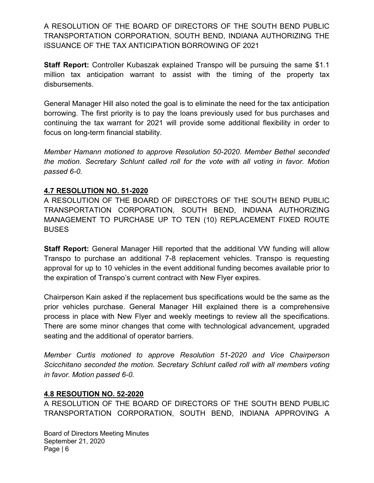A RESOLUTION OF THE BOARD OF DIRECTORS OF THE SOUTH BEND PUBLIC TRANSPORTATION CORPORATION, SOUTH BEND, INDIANA AUTHORIZING THE ISSUANCE OF THE TAX ANTICIPATION BORROWING OF 2021

Staff Report: Controller Kubaszak explained Transpo will be pursuing the same \$1.1 million tax anticipation warrant to assist with the timing of the property tax disbursements.

General Manager Hill also noted the goal is to eliminate the need for the tax anticipation borrowing. The first priority is to pay the loans previously used for bus purchases and continuing the tax warrant for 2021 will provide some additional flexibility in order to focus on long-term financial stability.

Member Hamann motioned to approve Resolution 50-2020. Member Bethel seconded the motion. Secretary Schlunt called roll for the vote with all voting in favor. Motion passed 6-0.

# 4.7 RESOLUTION NO. 51-2020

A RESOLUTION OF THE BOARD OF DIRECTORS OF THE SOUTH BEND PUBLIC TRANSPORTATION CORPORATION, SOUTH BEND, INDIANA AUTHORIZING MANAGEMENT TO PURCHASE UP TO TEN (10) REPLACEMENT FIXED ROUTE BUSES

Staff Report: General Manager Hill reported that the additional VW funding will allow Transpo to purchase an additional 7-8 replacement vehicles. Transpo is requesting approval for up to 10 vehicles in the event additional funding becomes available prior to the expiration of Transpo's current contract with New Flyer expires.

Chairperson Kain asked if the replacement bus specifications would be the same as the prior vehicles purchase. General Manager Hill explained there is a comprehensive process in place with New Flyer and weekly meetings to review all the specifications. There are some minor changes that come with technological advancement, upgraded seating and the additional of operator barriers.

Member Curtis motioned to approve Resolution 51-2020 and Vice Chairperson Scicchitano seconded the motion. Secretary Schlunt called roll with all members voting in favor. Motion passed 6-0.

# 4.8 RESOUTION NO. 52-2020

A RESOLUTION OF THE BOARD OF DIRECTORS OF THE SOUTH BEND PUBLIC TRANSPORTATION CORPORATION, SOUTH BEND, INDIANA APPROVING A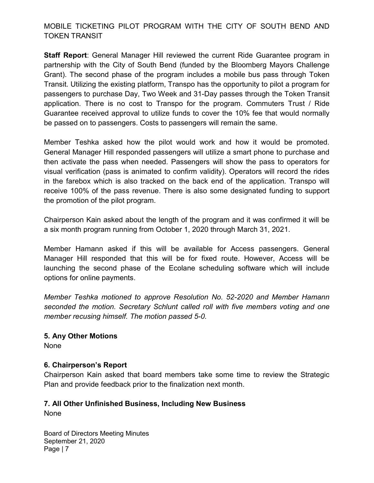# MOBILE TICKETING PILOT PROGRAM WITH THE CITY OF SOUTH BEND AND TOKEN TRANSIT

Staff Report: General Manager Hill reviewed the current Ride Guarantee program in partnership with the City of South Bend (funded by the Bloomberg Mayors Challenge Grant). The second phase of the program includes a mobile bus pass through Token Transit. Utilizing the existing platform, Transpo has the opportunity to pilot a program for passengers to purchase Day, Two Week and 31-Day passes through the Token Transit application. There is no cost to Transpo for the program. Commuters Trust / Ride Guarantee received approval to utilize funds to cover the 10% fee that would normally be passed on to passengers. Costs to passengers will remain the same.

Member Teshka asked how the pilot would work and how it would be promoted. General Manager Hill responded passengers will utilize a smart phone to purchase and then activate the pass when needed. Passengers will show the pass to operators for visual verification (pass is animated to confirm validity). Operators will record the rides in the farebox which is also tracked on the back end of the application. Transpo will receive 100% of the pass revenue. There is also some designated funding to support the promotion of the pilot program.

Chairperson Kain asked about the length of the program and it was confirmed it will be a six month program running from October 1, 2020 through March 31, 2021.

Member Hamann asked if this will be available for Access passengers. General Manager Hill responded that this will be for fixed route. However, Access will be launching the second phase of the Ecolane scheduling software which will include options for online payments.

Member Teshka motioned to approve Resolution No. 52-2020 and Member Hamann seconded the motion. Secretary Schlunt called roll with five members voting and one member recusing himself. The motion passed 5-0.

#### 5. Any Other Motions

None

#### 6. Chairperson's Report

Chairperson Kain asked that board members take some time to review the Strategic Plan and provide feedback prior to the finalization next month.

# 7. All Other Unfinished Business, Including New Business

None